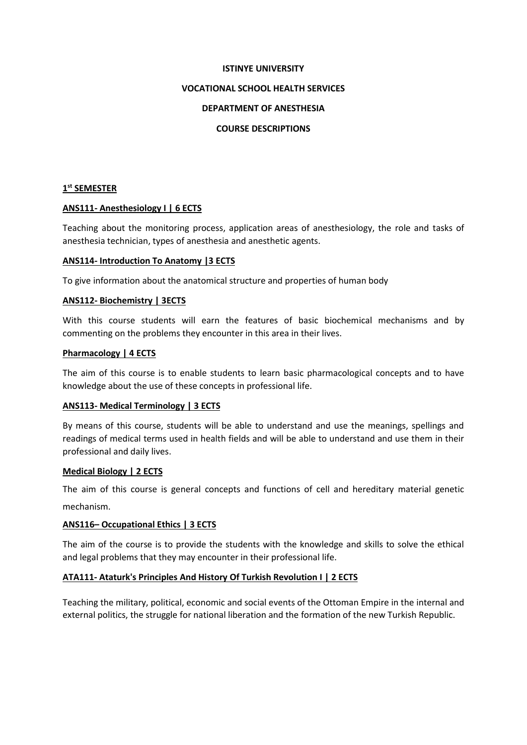#### **ISTINYE UNIVERSITY**

#### **VOCATIONAL SCHOOL HEALTH SERVICES**

#### **DEPARTMENT OF ANESTHESIA**

#### **COURSE DESCRIPTIONS**

### **1 st SEMESTER**

#### **ANS111- Anesthesiology I | 6 ECTS**

Teaching about the monitoring process, application areas of anesthesiology, the role and tasks of anesthesia technician, types of anesthesia and anesthetic agents.

#### **ANS114- Introduction To Anatomy |3 ECTS**

To give information about the anatomical structure and properties of human body

#### **ANS112- Biochemistry | 3ECTS**

With this course students will earn the features of basic biochemical mechanisms and by commenting on the problems they encounter in this area in their lives.

#### **Pharmacology | 4 ECTS**

The aim of this course is to enable students to learn basic pharmacological concepts and to have knowledge about the use of these concepts in professional life.

#### **ANS113- Medical Terminology | 3 ECTS**

By means of this course, students will be able to understand and use the meanings, spellings and readings of medical terms used in health fields and will be able to understand and use them in their professional and daily lives.

#### **Medical Biology | 2 ECTS**

The aim of this course is general concepts and functions of cell and hereditary material genetic mechanism.

#### **ANS116– Occupational Ethics | 3 ECTS**

The aim of the course is to provide the students with the knowledge and skills to solve the ethical and legal problems that they may encounter in their professional life.

#### **ATA111- Ataturk's Principles And History Of Turkish Revolution I | 2 ECTS**

Teaching the military, political, economic and social events of the Ottoman Empire in the internal and external politics, the struggle for national liberation and the formation of the new Turkish Republic.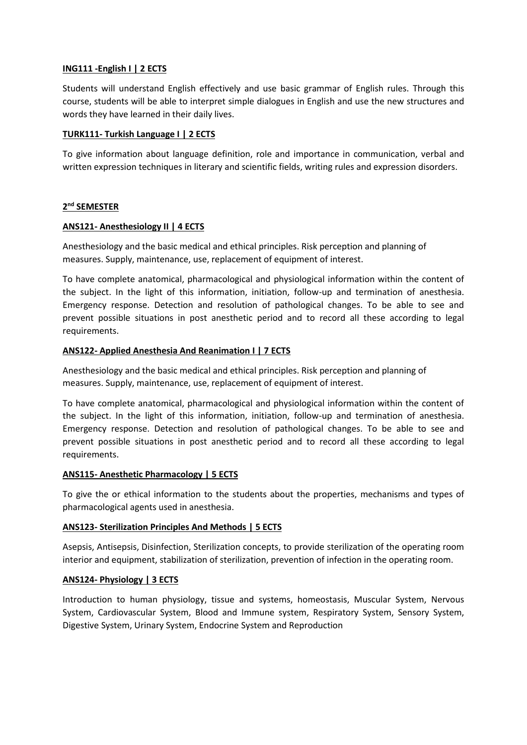## **ING111 -English I | 2 ECTS**

Students will understand English effectively and use basic grammar of English rules. Through this course, students will be able to interpret simple dialogues in English and use the new structures and words they have learned in their daily lives.

#### **TURK111- Turkish Language I | 2 ECTS**

To give information about language definition, role and importance in communication, verbal and written expression techniques in literary and scientific fields, writing rules and expression disorders.

## **2 nd SEMESTER**

### **ANS121- Anesthesiology II | 4 ECTS**

Anesthesiology and the basic medical and ethical principles. Risk perception and planning of measures. Supply, maintenance, use, replacement of equipment of interest.

To have complete anatomical, pharmacological and physiological information within the content of the subject. In the light of this information, initiation, follow-up and termination of anesthesia. Emergency response. Detection and resolution of pathological changes. To be able to see and prevent possible situations in post anesthetic period and to record all these according to legal requirements.

### **ANS122- Applied Anesthesia And Reanimation I | 7 ECTS**

Anesthesiology and the basic medical and ethical principles. Risk perception and planning of measures. Supply, maintenance, use, replacement of equipment of interest.

To have complete anatomical, pharmacological and physiological information within the content of the subject. In the light of this information, initiation, follow-up and termination of anesthesia. Emergency response. Detection and resolution of pathological changes. To be able to see and prevent possible situations in post anesthetic period and to record all these according to legal requirements.

#### **ANS115- Anesthetic Pharmacology | 5 ECTS**

To give the or ethical information to the students about the properties, mechanisms and types of pharmacological agents used in anesthesia.

## **ANS123- Sterilization Principles And Methods | 5 ECTS**

Asepsis, Antisepsis, Disinfection, Sterilization concepts, to provide sterilization of the operating room interior and equipment, stabilization of sterilization, prevention of infection in the operating room.

#### **ANS124- Physiology | 3 ECTS**

Introduction to human physiology, tissue and systems, homeostasis, Muscular System, Nervous System, Cardiovascular System, Blood and Immune system, Respiratory System, Sensory System, Digestive System, Urinary System, Endocrine System and Reproduction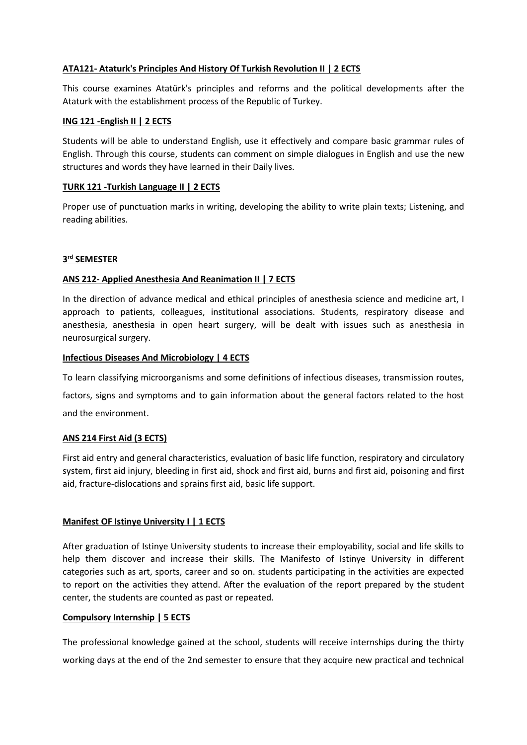## **ATA121- Ataturk's Principles And History Of Turkish Revolution II | 2 ECTS**

This course examines Atatürk's principles and reforms and the political developments after the Ataturk with the establishment process of the Republic of Turkey.

### **ING 121 -English II | 2 ECTS**

Students will be able to understand English, use it effectively and compare basic grammar rules of English. Through this course, students can comment on simple dialogues in English and use the new structures and words they have learned in their Daily lives.

#### **TURK 121 -Turkish Language II | 2 ECTS**

Proper use of punctuation marks in writing, developing the ability to write plain texts; Listening, and reading abilities.

# **3 rd SEMESTER**

## **ANS 212- Applied Anesthesia And Reanimation II | 7 ECTS**

In the direction of advance medical and ethical principles of anesthesia science and medicine art, I approach to patients, colleagues, institutional associations. Students, respiratory disease and anesthesia, anesthesia in open heart surgery, will be dealt with issues such as anesthesia in neurosurgical surgery.

#### **Infectious Diseases And Microbiology | 4 ECTS**

To learn classifying microorganisms and some definitions of infectious diseases, transmission routes, factors, signs and symptoms and to gain information about the general factors related to the host

and the environment.

## **ANS 214 First Aid (3 ECTS)**

First aid entry and general characteristics, evaluation of basic life function, respiratory and circulatory system, first aid injury, bleeding in first aid, shock and first aid, burns and first aid, poisoning and first aid, fracture-dislocations and sprains first aid, basic life support.

#### **Manifest OF Istinye University I | 1 ECTS**

After graduation of Istinye University students to increase their employability, social and life skills to help them discover and increase their skills. The Manifesto of Istinye University in different categories such as art, sports, career and so on. students participating in the activities are expected to report on the activities they attend. After the evaluation of the report prepared by the student center, the students are counted as past or repeated.

#### **Compulsory Internship | 5 ECTS**

The professional knowledge gained at the school, students will receive internships during the thirty working days at the end of the 2nd semester to ensure that they acquire new practical and technical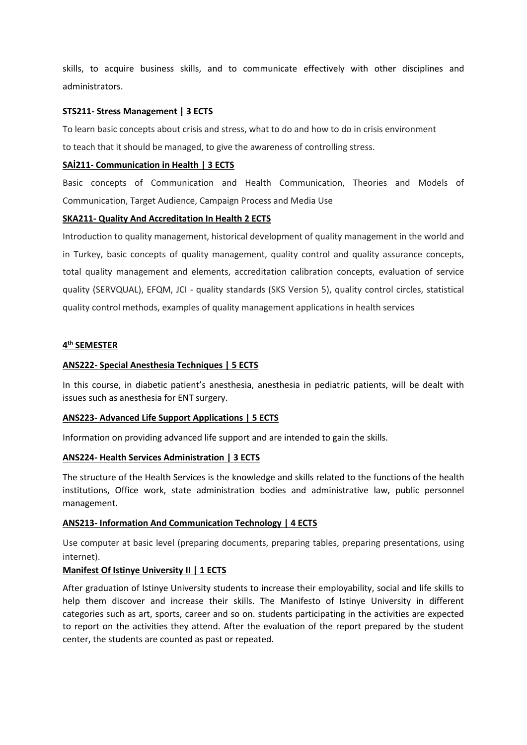skills, to acquire business skills, and to communicate effectively with other disciplines and administrators.

#### **STS211- Stress Management | 3 ECTS**

To learn basic concepts about crisis and stress, what to do and how to do in crisis environment to teach that it should be managed, to give the awareness of controlling stress.

## **SAİ211- Communication in Health | 3 ECTS**

Basic concepts of Communication and Health Communication, Theories and Models of Communication, Target Audience, Campaign Process and Media Use

### **SKA211- Quality And Accreditation In Health 2 ECTS**

Introduction to quality management, historical development of quality management in the world and in Turkey, basic concepts of quality management, quality control and quality assurance concepts, total quality management and elements, accreditation calibration concepts, evaluation of service quality (SERVQUAL), EFQM, JCI - quality standards (SKS Version 5), quality control circles, statistical quality control methods, examples of quality management applications in health services

## **4 th SEMESTER**

### **ANS222- Special Anesthesia Techniques | 5 ECTS**

In this course, in diabetic patient's anesthesia, anesthesia in pediatric patients, will be dealt with issues such as anesthesia for ENT surgery.

#### **ANS223- Advanced Life Support Applications | 5 ECTS**

Information on providing advanced life support and are intended to gain the skills.

#### **ANS224- Health Services Administration | 3 ECTS**

The structure of the Health Services is the knowledge and skills related to the functions of the health institutions, Office work, state administration bodies and administrative law, public personnel management.

#### **ANS213- Information And Communication Technology | 4 ECTS**

Use computer at basic level (preparing documents, preparing tables, preparing presentations, using internet).

#### **Manifest Of Istinye University II | 1 ECTS**

After graduation of Istinye University students to increase their employability, social and life skills to help them discover and increase their skills. The Manifesto of Istinye University in different categories such as art, sports, career and so on. students participating in the activities are expected to report on the activities they attend. After the evaluation of the report prepared by the student center, the students are counted as past or repeated.